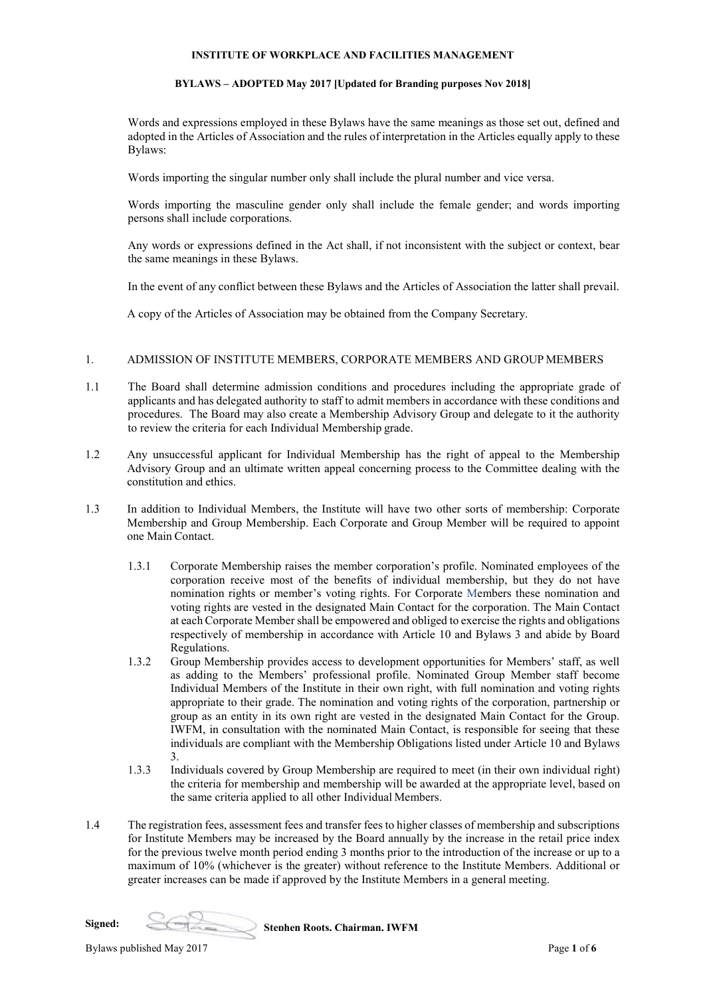#### **INSTITUTE OF WORKPLACE AND FACILITIES MANAGEMENT**

#### **BYLAWS – ADOPTED May 2017 [Updated for Branding purposes Nov 2018]**

Words and expressions employed in these Bylaws have the same meanings as those set out, defined and adopted in the Articles of Association and the rules of interpretation in the Articles equally apply to these Bylaws:

Words importing the singular number only shall include the plural number and vice versa.

Words importing the masculine gender only shall include the female gender; and words importing persons shall include corporations.

Any words or expressions defined in the Act shall, if not inconsistent with the subject or context, bear the same meanings in these Bylaws.

In the event of any conflict between these Bylaws and the Articles of Association the latter shall prevail.

A copy of the Articles of Association may be obtained from the Company Secretary.

## 1. ADMISSION OF INSTITUTE MEMBERS, CORPORATE MEMBERS AND GROUP MEMBERS

- 1.1 The Board shall determine admission conditions and procedures including the appropriate grade of applicants and has delegated authority to staff to admit members in accordance with these conditions and procedures. The Board may also create a Membership Advisory Group and delegate to it the authority to review the criteria for each Individual Membership grade.
- 1.2 Any unsuccessful applicant for Individual Membership has the right of appeal to the Membership Advisory Group and an ultimate written appeal concerning process to the Committee dealing with the constitution and ethics.
- 1.3 In addition to Individual Members, the Institute will have two other sorts of membership: Corporate Membership and Group Membership. Each Corporate and Group Member will be required to appoint one Main Contact.
	- 1.3.1 Corporate Membership raises the member corporation's profile. Nominated employees of the corporation receive most of the benefits of individual membership, but they do not have nomination rights or member's voting rights. For Corporate Members these nomination and voting rights are vested in the designated Main Contact for the corporation. The Main Contact at each Corporate Member shall be empowered and obliged to exercise the rights and obligations respectively of membership in accordance with Article 10 and Bylaws 3 and abide by Board Regulations.
	- 1.3.2 Group Membership provides access to development opportunities for Members' staff, as well as adding to the Members' professional profile. Nominated Group Member staff become Individual Members of the Institute in their own right, with full nomination and voting rights appropriate to their grade. The nomination and voting rights of the corporation, partnership or group as an entity in its own right are vested in the designated Main Contact for the Group. IWFM, in consultation with the nominated Main Contact, is responsible for seeing that these individuals are compliant with the Membership Obligations listed under Article 10 and Bylaws 3.
	- 1.3.3 Individuals covered by Group Membership are required to meet (in their own individual right) the criteria for membership and membership will be awarded at the appropriate level, based on the same criteria applied to all other Individual Members.
- 1.4 The registration fees, assessment fees and transfer fees to higher classes of membership and subscriptions for Institute Members may be increased by the Board annually by the increase in the retail price index for the previous twelve month period ending 3 months prior to the introduction of the increase or up to a maximum of 10% (whichever is the greater) without reference to the Institute Members. Additional or greater increases can be made if approved by the Institute Members in a general meeting.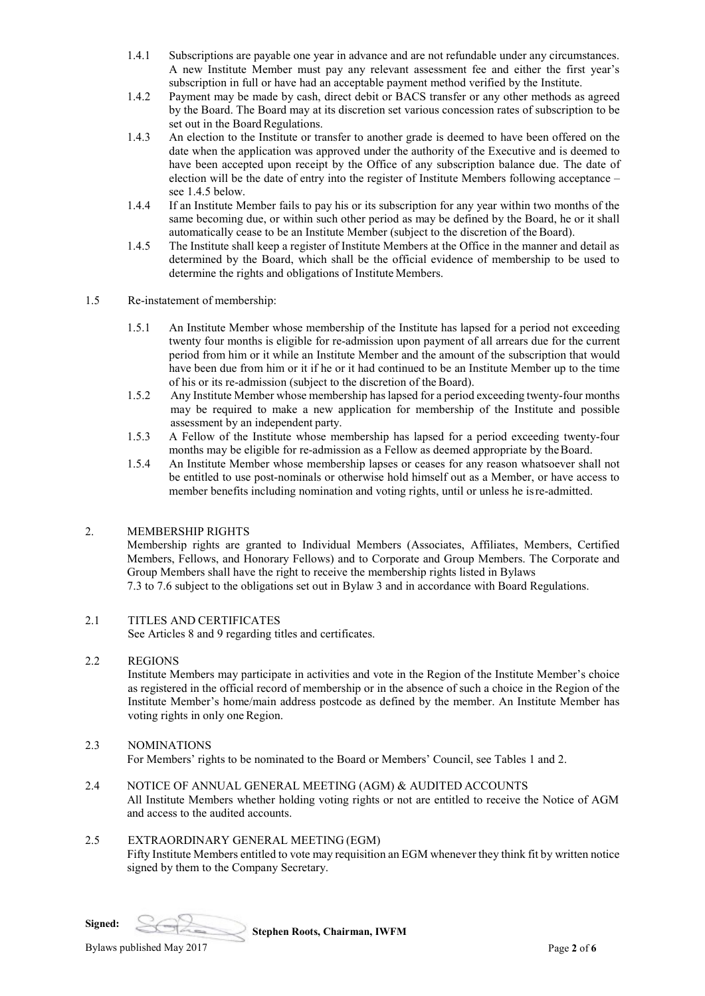- 1.4.1 Subscriptions are payable one year in advance and are not refundable under any circumstances. A new Institute Member must pay any relevant assessment fee and either the first year's subscription in full or have had an acceptable payment method verified by the Institute.
- 1.4.2 Payment may be made by cash, direct debit or BACS transfer or any other methods as agreed by the Board. The Board may at its discretion set various concession rates of subscription to be set out in the Board Regulations.
- 1.4.3 An election to the Institute or transfer to another grade is deemed to have been offered on the date when the application was approved under the authority of the Executive and is deemed to have been accepted upon receipt by the Office of any subscription balance due. The date of election will be the date of entry into the register of Institute Members following acceptance – see 1.4.5 below.
- 1.4.4 If an Institute Member fails to pay his or its subscription for any year within two months of the same becoming due, or within such other period as may be defined by the Board, he or it shall automatically cease to be an Institute Member (subject to the discretion of the Board).
- 1.4.5 The Institute shall keep a register of Institute Members at the Office in the manner and detail as determined by the Board, which shall be the official evidence of membership to be used to determine the rights and obligations of Institute Members.
- 1.5 Re-instatement of membership:
	- 1.5.1 An Institute Member whose membership of the Institute has lapsed for a period not exceeding twenty four months is eligible for re-admission upon payment of all arrears due for the current period from him or it while an Institute Member and the amount of the subscription that would have been due from him or it if he or it had continued to be an Institute Member up to the time of his or its re-admission (subject to the discretion of the Board).
	- 1.5.2 Any Institute Member whose membership has lapsed for a period exceeding twenty-four months may be required to make a new application for membership of the Institute and possible assessment by an independent party.
	- 1.5.3 A Fellow of the Institute whose membership has lapsed for a period exceeding twenty-four months may be eligible for re-admission as a Fellow as deemed appropriate by theBoard.
	- 1.5.4 An Institute Member whose membership lapses or ceases for any reason whatsoever shall not be entitled to use post-nominals or otherwise hold himself out as a Member, or have access to member benefits including nomination and voting rights, until or unless he isre-admitted.

## 2. MEMBERSHIP RIGHTS

Membership rights are granted to Individual Members (Associates, Affiliates, Members, Certified Members, Fellows, and Honorary Fellows) and to Corporate and Group Members. The Corporate and Group Members shall have the right to receive the membership rights listed in Bylaws 7.3 to 7.6 subject to the obligations set out in Bylaw 3 and in accordance with Board Regulations.

## 2.1 TITLES AND CERTIFICATES

See Articles 8 and 9 regarding titles and certificates.

## 2.2 REGIONS

Institute Members may participate in activities and vote in the Region of the Institute Member's choice as registered in the official record of membership or in the absence of such a choice in the Region of the Institute Member's home/main address postcode as defined by the member. An Institute Member has voting rights in only one Region.

- 2.3 NOMINATIONS For Members' rights to be nominated to the Board or Members' Council, see Tables 1 and 2.
- 2.4 NOTICE OF ANNUAL GENERAL MEETING (AGM) & AUDITED ACCOUNTS All Institute Members whether holding voting rights or not are entitled to receive the Notice of AGM and access to the audited accounts.

## 2.5 EXTRAORDINARY GENERAL MEETING (EGM)

Fifty Institute Members entitled to vote may requisition an EGM whenever they think fit by written notice signed by them to the Company Secretary.





**Stephen Roots, Chairman, IWFM**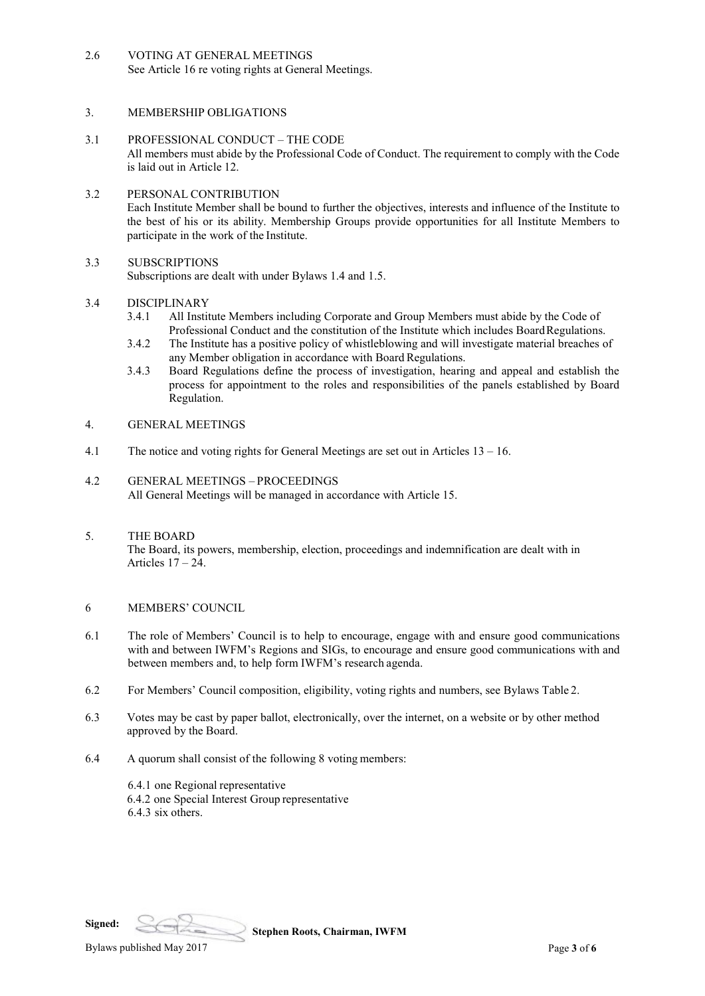2.6 VOTING AT GENERAL MEETINGS See Article 16 re voting rights at General Meetings.

## 3. MEMBERSHIP OBLIGATIONS

3.1 PROFESSIONAL CONDUCT – THE CODE All members must abide by the Professional Code of Conduct. The requirement to comply with the Code is laid out in Article 12.

## 3.2 PERSONAL CONTRIBUTION Each Institute Member shall be bound to further the objectives, interests and influence of the Institute to the best of his or its ability. Membership Groups provide opportunities for all Institute Members to participate in the work of the Institute.

## 3.3 SUBSCRIPTIONS

Subscriptions are dealt with under Bylaws 1.4 and 1.5.

# 3.4 DISCIPLINARY<br>3.4.1 All Instit

- All Institute Members including Corporate and Group Members must abide by the Code of Professional Conduct and the constitution of the Institute which includes BoardRegulations.
- 3.4.2 The Institute has a positive policy of whistleblowing and will investigate material breaches of any Member obligation in accordance with Board Regulations.
- 3.4.3 Board Regulations define the process of investigation, hearing and appeal and establish the process for appointment to the roles and responsibilities of the panels established by Board Regulation.

#### 4. GENERAL MEETINGS

- 4.1 The notice and voting rights for General Meetings are set out in Articles 13 16.
- 4.2 GENERAL MEETINGS PROCEEDINGS All General Meetings will be managed in accordance with Article 15.
- 5. THE BOARD The Board, its powers, membership, election, proceedings and indemnification are dealt with in Articles  $17 - 24$ .

## 6 MEMBERS' COUNCIL

- 6.1 The role of Members' Council is to help to encourage, engage with and ensure good communications with and between IWFM's Regions and SIGs, to encourage and ensure good communications with and between members and, to help form IWFM's research agenda.
- 6.2 For Members' Council composition, eligibility, voting rights and numbers, see Bylaws Table 2.
- 6.3 Votes may be cast by paper ballot, electronically, over the internet, on a website or by other method approved by the Board.
- 6.4 A quorum shall consist of the following 8 voting members:
	- 6.4.1 one Regional representative 6.4.2 one Special Interest Group representative 6.4.3 six others.

**Signed:**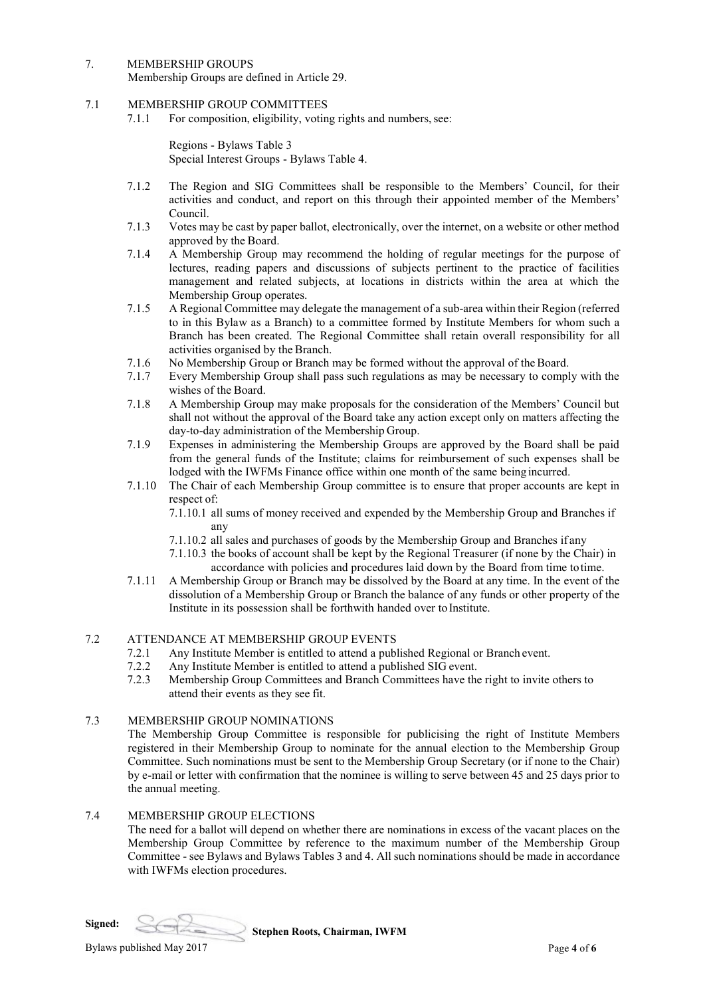- 7. MEMBERSHIP GROUPS
	- Membership Groups are defined in Article 29.
- 7.1 MEMBERSHIP GROUP COMMITTEES
	- 7.1.1 For composition, eligibility, voting rights and numbers, see:

Regions - Bylaws Table 3 Special Interest Groups - Bylaws Table 4.

- 7.1.2 The Region and SIG Committees shall be responsible to the Members' Council, for their activities and conduct, and report on this through their appointed member of the Members' Council.
- 7.1.3 Votes may be cast by paper ballot, electronically, over the internet, on a website or other method approved by the Board.
- 7.1.4 A Membership Group may recommend the holding of regular meetings for the purpose of lectures, reading papers and discussions of subjects pertinent to the practice of facilities management and related subjects, at locations in districts within the area at which the Membership Group operates.
- 7.1.5 A Regional Committee may delegate the management of a sub-area within their Region (referred to in this Bylaw as a Branch) to a committee formed by Institute Members for whom such a Branch has been created. The Regional Committee shall retain overall responsibility for all activities organised by the Branch.
- 7.1.6 No Membership Group or Branch may be formed without the approval of the Board.<br>7.1.7 Every Membership Group shall pass such regulations as may be necessary to complete
- Every Membership Group shall pass such regulations as may be necessary to comply with the wishes of the Board.
- 7.1.8 A Membership Group may make proposals for the consideration of the Members' Council but shall not without the approval of the Board take any action except only on matters affecting the day-to-day administration of the Membership Group.
- 7.1.9 Expenses in administering the Membership Groups are approved by the Board shall be paid from the general funds of the Institute; claims for reimbursement of such expenses shall be lodged with the IWFMs Finance office within one month of the same being incurred.
- 7.1.10 The Chair of each Membership Group committee is to ensure that proper accounts are kept in respect of:

7.1.10.1 all sums of money received and expended by the Membership Group and Branches if any

- 7.1.10.2 all sales and purchases of goods by the Membership Group and Branches if any
- 7.1.10.3 the books of account shall be kept by the Regional Treasurer (if none by the Chair) in accordance with policies and procedures laid down by the Board from time totime.
- 7.1.11 A Membership Group or Branch may be dissolved by the Board at any time. In the event of the dissolution of a Membership Group or Branch the balance of any funds or other property of the Institute in its possession shall be forthwith handed over to Institute.

## 7.2 ATTENDANCE AT MEMBERSHIP GROUP EVENTS

- 7.2.1 Any Institute Member is entitled to attend a published Regional or Branch event.
- 7.2.2 Any Institute Member is entitled to attend a published SIG event.<br>7.2.3 Membership Group Committees and Branch Committees have the
- 7.2.3 Membership Group Committees and Branch Committees have the right to invite others to attend their events as they see fit.

## 7.3 MEMBERSHIP GROUP NOMINATIONS

The Membership Group Committee is responsible for publicising the right of Institute Members registered in their Membership Group to nominate for the annual election to the Membership Group Committee. Such nominations must be sent to the Membership Group Secretary (or if none to the Chair) by e-mail or letter with confirmation that the nominee is willing to serve between 45 and 25 days prior to the annual meeting.

## 7.4 MEMBERSHIP GROUP ELECTIONS

The need for a ballot will depend on whether there are nominations in excess of the vacant places on the Membership Group Committee by reference to the maximum number of the Membership Group Committee - see Bylaws and Bylaws Tables 3 and 4. All such nominations should be made in accordance with IWFMs election procedures.

**Signed:**